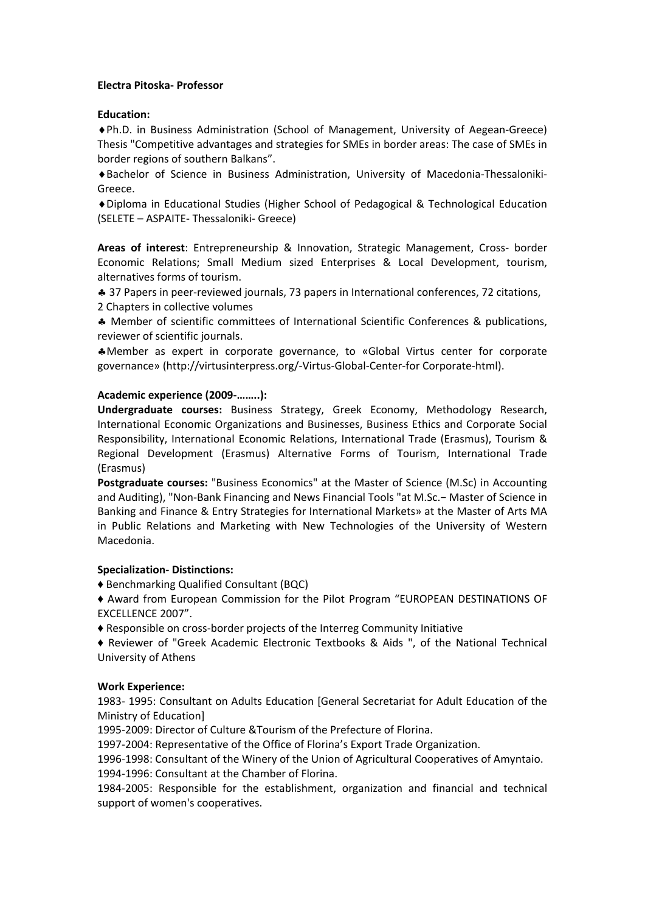# **Electra Pitoska- Professor**

## **Education:**

♦Ph.D. in Business Administration (School of Management, University of Aegean-Greece) Thesis "Competitive advantages and strategies for SMEs in border areas: The case of SMEs in border regions of southern Balkans".

♦Bachelor of Science in Business Administration, University of Macedonia-Thessaloniki-Greece.

♦Diploma in Educational Studies (Higher School of Pedagogical & Technological Education (SELETE – ASPAITE- Thessaloniki- Greece)

**Areas of interest**: Entrepreneurship & Innovation, Strategic Management, Cross- border Economic Relations; Small Medium sized Enterprises & Local Development, tourism, alternatives forms of tourism.

♣ 37 Papers in peer-reviewed journals, 73 papers in International conferences, 72 citations, 2 Chapters in collective volumes

♣ Member of scientific committees of International Scientific Conferences & publications, reviewer of scientific journals.

♣Member as expert in corporate governance, to «Global Virtus center for corporate governance» (http://virtusinterpress.org/-Virtus-Global-Center-for Corporate-html).

## **Academic experience (2009-……..):**

**Undergraduate courses:** Business Strategy, Greek Economy, Methodology Research, International Economic Organizations and Businesses, Business Ethics and Corporate Social Responsibility, International Economic Relations, International Trade (Erasmus), Tourism & Regional Development (Erasmus) Alternative Forms of Tourism, International Trade (Erasmus)

**Postgraduate courses:** "Business Economics" at the Master of Science (M.Sc) in Accounting and Auditing), "Non-Bank Financing and News Financial Tools "at M.Sc.− Master of Science in Banking and Finance & Entry Strategies for International Markets» at the Master of Arts MA in Public Relations and Marketing with New Technologies of the University of Western Macedonia.

#### **Specialization- Distinctions:**

♦ Benchmarking Qualified Consultant (BQC)

♦ Award from European Commission for the Pilot Program "EUROPEAN DESTINATIONS OF EXCELLENCE 2007".

♦ Responsible on cross-border projects of the Interreg Community Initiative

♦ Reviewer of "Greek Academic Electronic Textbooks & Aids ", of the National Technical University of Athens

#### **Work Experience:**

1983- 1995: Consultant on Adults Education [General Secretariat for Adult Education of the Ministry of Education]

1995-2009: Director of Culture &Tourism of the Prefecture of Florina.

1997-2004: Representative of the Office of Florina's Export Trade Organization.

1996-1998: Consultant of the Winery of the Union of Agricultural Cooperatives of Amyntaio.

1994-1996: Consultant at the Chamber of Florina.

1984-2005: Responsible for the establishment, organization and financial and technical support of women's cooperatives.